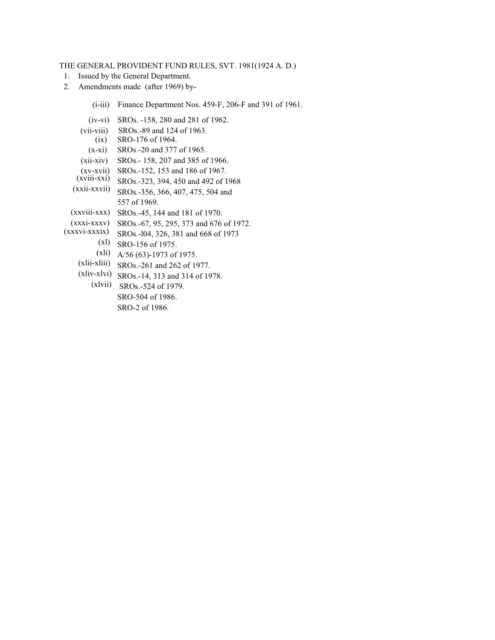## THE GENERAL PROVIDENT FUND RULES, SVT. 1981(1924 A. D.)

- 1. Issued by the General Department.
- 2. Amendments made (after 1969) by-

| $(i-iii)$ Finance Department Nos. 459-F, 206-F and 391 of 1961. |  |  |  |
|-----------------------------------------------------------------|--|--|--|
|-----------------------------------------------------------------|--|--|--|

- (iv-vi) SROs. -158, 280 and 281 of 1962.
- (vii-viii) SROs.-89 and 124 of 1963.
- $(ix)$ SRO-176 of 1964.
- $(x-xi)$ SROs.-20 and 377 of 1965.
- (xii-xiv) SROs.- 158, 207 and 385 of 1966.
- (xv-xvii) SROs.-152, 153 and 186 of 1967.
- SROs.-323, 394, 450 and 492 of 1968  $(xviii-xxi)$
- SROs.-356, 366, 407, 475, 504 and 557 of 1969. (xxii-xxvii)
- (xxviii-xxx) SROs.-45, 144 and 181 of 1970.
- SROs.-67, 95, 295, 373 and 676 of 1972. (xxxi-xxxv)
- SROs.-l04, 326, 381 and 668 of 1973 (xxxvi-xxxix)
- $(x1)$  SRO-156 of 1975.
	- $(X1i)$  A/56 (63)-1973 of 1975.
- $(xlii-xliii)$  SROs.-261 and 262 of 1977.
- $(xliv-xlvi)$  SROs.-14, 313 and 314 of 1978.
	- $(xlvii)$  SROs.-524 of 1979. SRO-504 of 1986. SRO-2 of 1986.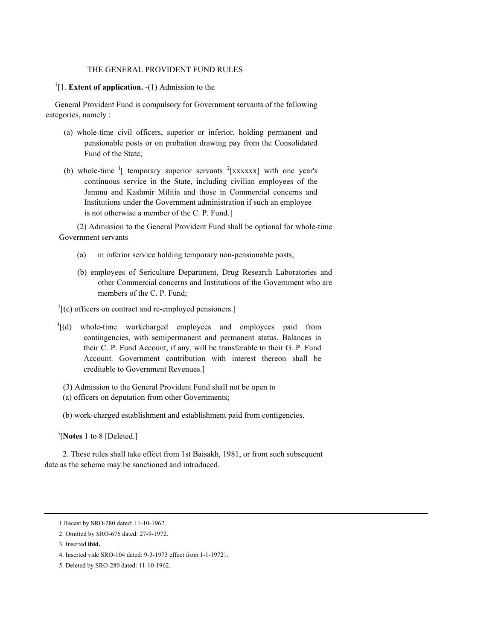## THE GENERAL PROVIDENT FUND RULES

# <sup>1</sup>[1. **Extent of application.** -(1) Admission to the

General Provident Fund is compulsory for Government servants of the following categories, namely :

- (a) whole-time civil officers, superior or inferior, holding permanent and pensionable posts or on probation drawing pay from the Consolidated Fund of the State;
- (b) whole-time  $\frac{1}{2}$  temporary superior servants  $\frac{2}{2}$ [xxxxxx] with one year's continuous service in the State, including civilian employees of the Jammu and Kashmir Militia and those in Commercial concerns and Institutions under the Government administration if such an employee is not otherwise a member of the C. P. Fund.]

 (2) Admission to the General Provident Fund shall be optional for whole-time Government servants

- (a) in inferior service holding temporary non-pensionable posts;
- (b) employees of Sericulture Department, Drug Research Laboratories and other Commercial concerns and Institutions of the Government who are members of the C. P. Fund;

 $3$ [(c) officers on contract and re-employed pensioners.]

- <sup>4</sup>[(d) whole-time workcharged employees and employees paid from contingencies, with semipermanent and permanent status. Balances in their C. P. Fund Account, if any, will be transferable to their G. P. Fund Account. Government contribution with interest thereon shall be creditable to Government Revenues.]
- (3) Admission to the General Provident Fund shall not be open to
- (a) officers on deputation from other Governments;

(b) work-charged establishment and establishment paid from contigencies.

<sup>5</sup>[**Notes** 1 to 8 [Deleted.]

2. These rules shall take effect from 1st Baisakh, 1981, or from such subsequent date as the scheme may be sanctioned and introduced.

<sup>1.</sup>Recast by SRO-280 dated: 11-10-1962.

<sup>2.</sup> Omitted by SRO-676 dated: 27-9-1972.

<sup>3.</sup> Inserted **ibid.**

<sup>4.</sup> Inserted vide SRO-104 dated: 9-3-1973 effect from 1-1-1972}.

<sup>5.</sup> Deleted by SRO-280 dated: 11-10-1962.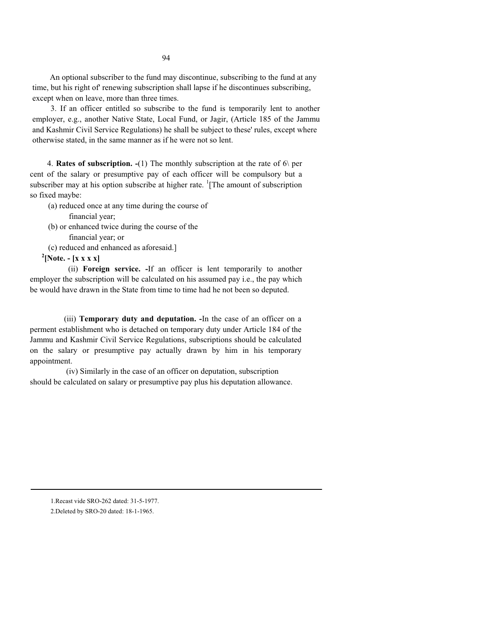An optional subscriber to the fund may discontinue, subscribing to the fund at any time, but his right of' renewing subscription shall lapse if he discontinues subscribing, except when on leave, more than three times.

3. If an officer entitled so subscribe to the fund is temporarily lent to another employer, e.g., another Native State, Local Fund, or Jagir, (Article 185 of the Jammu and Kashmir Civil Service Regulations) he shall be subject to these' rules, except where otherwise stated, in the same manner as if he were not so lent.

4. **Rates of subscription. -**(1) The monthly subscription at the rate of 6\ per cent of the salary or presumptive pay of each officer will be compulsory but a subscriber may at his option subscribe at higher rate.  ${}^{1}$ [The amount of subscription so fixed maybe:

- (a) reduced once at any time during the course of
	- financial year;
- (b) or enhanced twice during the course of the financial year; or
- (c) reduced and enhanced as aforesaid.]

**2 [Note. - [x x x x]** 

(ii) **Foreign service. -**If an officer is lent temporarily to another employer the subscription will be calculated on his assumed pay i.e., the pay which be would have drawn in the State from time to time had he not been so deputed.

(iii) **Temporary duty and deputation. -**In the case of an officer on a perment establishment who is detached on temporary duty under Article 184 of the Jammu and Kashmir Civil Service Regulations, subscriptions should be calculated on the salary or presumptive pay actually drawn by him in his temporary appointment.

(iv) Similarly in the case of an officer on deputation, subscription should be calculated on salary or presumptive pay plus his deputation allowance.

1.Recast vide SRO-262 dated: 31-5-1977. 2.Deleted by SRO-20 dated: 18-1-1965.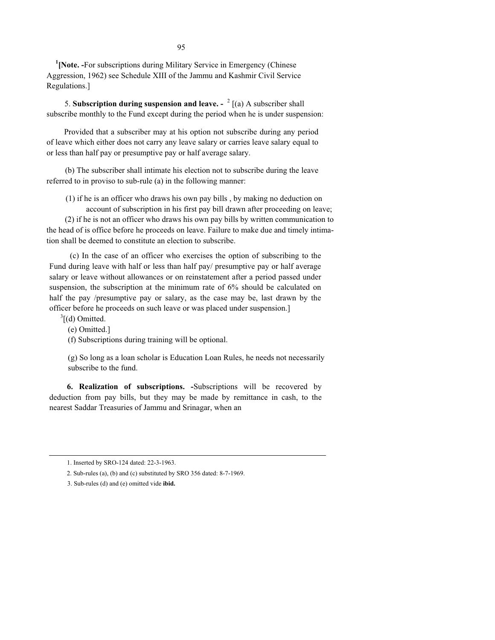<sup>1</sup>[Note. -For subscriptions during Military Service in Emergency (Chinese Aggression, 1962) see Schedule XIII of the Jammu and Kashmir Civil Service Regulations.]

5. **Subscription during suspension and leave. -** <sup>2</sup> [(a) A subscriber shall subscribe monthly to the Fund except during the period when he is under suspension:

Provided that a subscriber may at his option not subscribe during any period of leave which either does not carry any leave salary or carries leave salary equal to or less than half pay or presumptive pay or half average salary.

(b) The subscriber shall intimate his election not to subscribe during the leave referred to in proviso to sub-rule (a) in the following manner:

(1) if he is an officer who draws his own pay bills , by making no deduction on account of subscription in his first pay bill drawn after proceeding on leave;

 (2) if he is not an officer who draws his own pay bills by written communication to the head of is office before he proceeds on leave. Failure to make due and timely intimation shall be deemed to constitute an election to subscribe.

 (c) In the case of an officer who exercises the option of subscribing to the Fund during leave with half or less than half pay/ presumptive pay or half average salary or leave without allowances or on reinstatement after a period passed under suspension, the subscription at the minimum rate of 6% should be calculated on half the pay /presumptive pay or salary, as the case may be, last drawn by the officer before he proceeds on such leave or was placed under suspension.]

 $3$ [(d) Omitted.

(e) Omitted.]

(f) Subscriptions during training will be optional.

(g) So long as a loan scholar is Education Loan Rules, he needs not necessarily subscribe to the fund.

**6. Realization of subscriptions. -**Subscriptions will be recovered by deduction from pay bills, but they may be made by remittance in cash, to the nearest Saddar Treasuries of Jammu and Srinagar, when an

<sup>1.</sup> Inserted by SRO-124 dated: 22-3-1963.

<sup>2.</sup> Sub-rules (a), (b) and (c) substituted by SRO 356 dated: 8-7-1969.

<sup>3.</sup> Sub-rules (d) and (e) omitted vide **ibid.**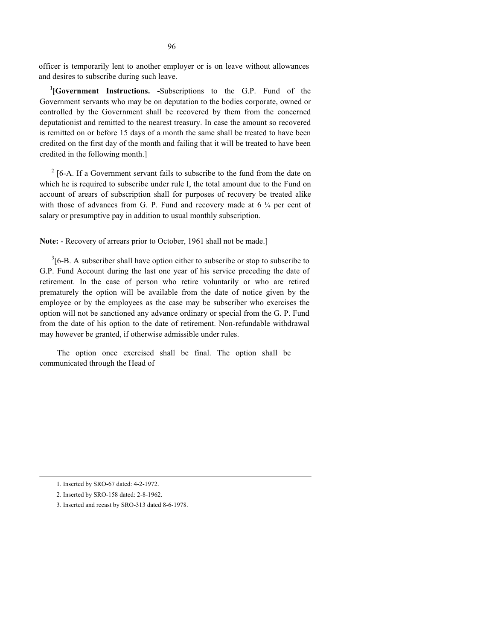officer is temporarily lent to another employer or is on leave without allowances and desires to subscribe during such leave.

**1 [Government Instructions. -**Subscriptions to the G.P. Fund of the Government servants who may be on deputation to the bodies corporate, owned or controlled by the Government shall be recovered by them from the concerned deputationist and remitted to the nearest treasury. In case the amount so recovered is remitted on or before 15 days of a month the same shall be treated to have been credited on the first day of the month and failing that it will be treated to have been credited in the following month.]

 $2 \times 16$ -A. If a Government servant fails to subscribe to the fund from the date on which he is required to subscribe under rule I, the total amount due to the Fund on account of arears of subscription shall for purposes of recovery be treated alike with those of advances from G. P. Fund and recovery made at  $6\frac{1}{4}$  per cent of salary or presumptive pay in addition to usual monthly subscription.

**Note:** - Recovery of arrears prior to October, 1961 shall not be made.]

 $3[6-B. A$  subscriber shall have option either to subscribe or stop to subscribe to G.P. Fund Account during the last one year of his service preceding the date of retirement. In the case of person who retire voluntarily or who are retired prematurely the option will be available from the date of notice given by the employee or by the employees as the case may be subscriber who exercises the option will not be sanctioned any advance ordinary or special from the G. P. Fund from the date of his option to the date of retirement. Non-refundable withdrawal may however be granted, if otherwise admissible under rules.

The option once exercised shall be final. The option shall be communicated through the Head of

<sup>1.</sup> Inserted by SRO-67 dated: 4-2-1972.

<sup>2.</sup> Inserted by SRO-158 dated: 2-8-1962.

<sup>3.</sup> Inserted and recast by SRO-313 dated 8-6-1978.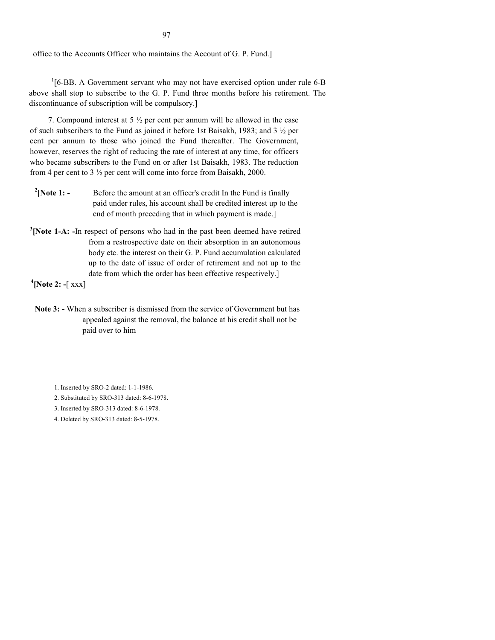office to the Accounts Officer who maintains the Account of G. P. Fund.]

<sup>1</sup>[6-BB. A Government servant who may not have exercised option under rule 6-B above shall stop to subscribe to the G. P. Fund three months before his retirement. The discontinuance of subscription will be compulsory.]

7. Compound interest at 5  $\frac{1}{2}$  per cent per annum will be allowed in the case of such subscribers to the Fund as joined it before 1st Baisakh, 1983; and 3 ½ per cent per annum to those who joined the Fund thereafter. The Government, however, reserves the right of reducing the rate of interest at any time, for officers who became subscribers to the Fund on or after 1st Baisakh, 1983. The reduction from 4 per cent to 3 ½ per cent will come into force from Baisakh, 2000.

- $^{2}$ [Note 1: -**[Note 1: -** Before the amount at an officer's credit In the Fund is finally paid under rules, his account shall be credited interest up to the end of month preceding that in which payment is made.]
- <sup>3</sup> [Note 1-A: -In respect of persons who had in the past been deemed have retired from a restrospective date on their absorption in an autonomous body etc. the interest on their G. P. Fund accumulation calculated up to the date of issue of order of retirement and not up to the date from which the order has been effective respectively.]

**4 [Note 2: -**[ xxx]

**Note 3: -** When a subscriber is dismissed from the service of Government but has appealed against the removal, the balance at his credit shall not be paid over to him

<sup>1.</sup> Inserted by SRO-2 dated: 1-1-1986.

<sup>2.</sup> Substituted by SRO-313 dated: 8-6-1978.

<sup>3.</sup> Inserted by SRO-313 dated: 8-6-1978.

<sup>4.</sup> Deleted by SRO-313 dated: 8-5-1978.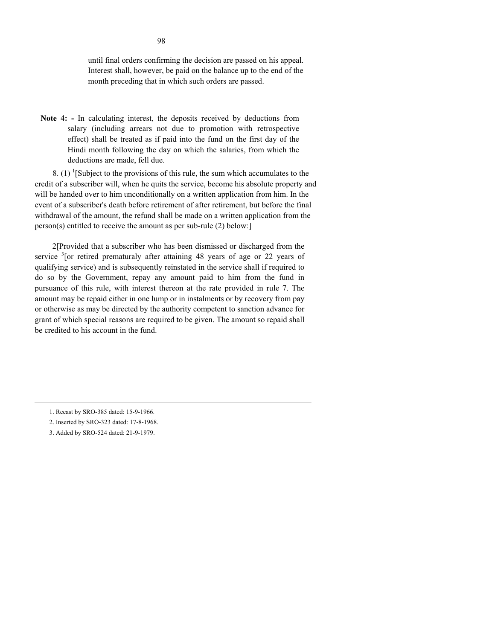until final orders confirming the decision are passed on his appeal. Interest shall, however, be paid on the balance up to the end of the month preceding that in which such orders are passed.

**Note 4: -** In calculating interest, the deposits received by deductions from salary (including arrears not due to promotion with retrospective effect) shall be treated as if paid into the fund on the first day of the Hindi month following the day on which the salaries, from which the deductions are made, fell due.

8. (1) <sup>1</sup>[Subject to the provisions of this rule, the sum which accumulates to the credit of a subscriber will, when he quits the service, become his absolute property and will be handed over to him unconditionally on a written application from him. In the event of a subscriber's death before retirement of after retirement, but before the final withdrawal of the amount, the refund shall be made on a written application from the person(s) entitled to receive the amount as per sub-rule (2) below:]

2[Provided that a subscriber who has been dismissed or discharged from the service  $3$ [or retired prematuraly after attaining 48 years of age or 22 years of qualifying service) and is subsequently reinstated in the service shall if required to do so by the Government, repay any amount paid to him from the fund in pursuance of this rule, with interest thereon at the rate provided in rule 7. The amount may be repaid either in one lump or in instalments or by recovery from pay or otherwise as may be directed by the authority competent to sanction advance for grant of which special reasons are required to be given. The amount so repaid shall be credited to his account in the fund.

3. Added by SRO-524 dated: 21-9-1979.

<sup>1.</sup> Recast by SRO-385 dated: 15-9-1966.

<sup>2.</sup> Inserted by SRO-323 dated: 17-8-1968.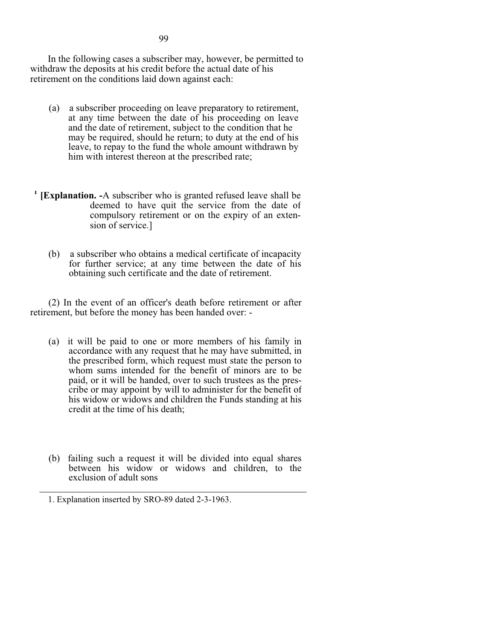In the following cases a subscriber may, however, be permitted to withdraw the deposits at his credit before the actual date of his retirement on the conditions laid down against each:

- (a) a subscriber proceeding on leave preparatory to retirement, at any time between the date of his proceeding on leave and the date of retirement, subject to the condition that he may be required, should he return; to duty at the end of his leave, to repay to the fund the whole amount withdrawn by him with interest thereon at the prescribed rate;
- <sup>1</sup> [Explanation. -A subscriber who is granted refused leave shall be deemed to have quit the service from the date of compulsory retirement or on the expiry of an extension of service.]
	- (b) a subscriber who obtains a medical certificate of incapacity for further service; at any time between the date of his obtaining such certificate and the date of retirement.

(2) In the event of an officer's death before retirement or after retirement, but before the money has been handed over: -

- (a) it will be paid to one or more members of his family in accordance with any request that he may have submitted, in the prescribed form, which request must state the person to whom sums intended for the benefit of minors are to be paid, or it will be handed, over to such trustees as the prescribe or may appoint by will to administer for the benefit of his widow or widows and children the Funds standing at his credit at the time of his death;
- (b) failing such a request it will be divided into equal shares between his widow or widows and children, to the exclusion of adult sons

<sup>1.</sup> Explanation inserted by SRO-89 dated 2-3-1963.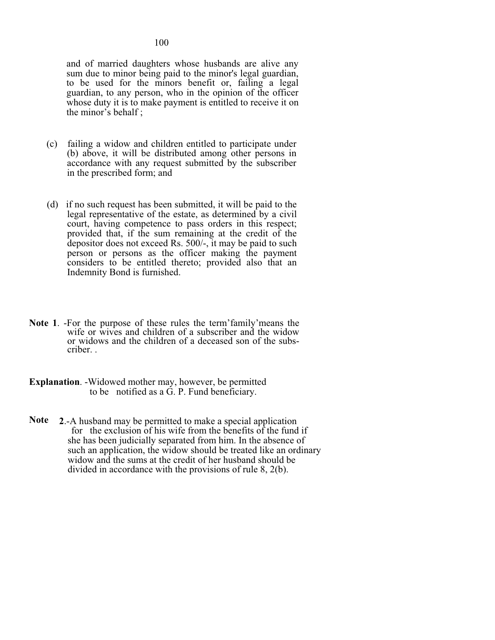and of married daughters whose husbands are alive any sum due to minor being paid to the minor's legal guardian, to be used for the minors benefit or, failing a legal guardian, to any person, who in the opinion of the officer whose duty it is to make payment is entitled to receive it on the minor's behalf ;

- (c) failing a widow and children entitled to participate under (b) above, it will be distributed among other persons in accordance with any request submitted by the subscriber in the prescribed form; and
- (d) if no such request has been submitted, it will be paid to the legal representative of the estate, as determined by a civil court, having competence to pass orders in this respect; provided that, if the sum remaining at the credit of the depositor does not exceed Rs. 500/-, it may be paid to such person or persons as the officer making the payment considers to be entitled thereto; provided also that an Indemnity Bond is furnished.
- **Note 1**. -For the purpose of these rules the term'family'means the wife or wives and children of a subscriber and the widow or widows and the children of a deceased son of the subscriber. .
- **Explanation**. -Widowed mother may, however, be permitted to be notified as a G. P. Fund beneficiary.
- **Note 2**.-A husband may be permitted to make a special application for the exclusion of his wife from the benefits of the fund if she has been judicially separated from him. In the absence of such an application, the widow should be treated like an ordinary widow and the sums at the credit of her husband should be divided in accordance with the provisions of rule 8, 2(b).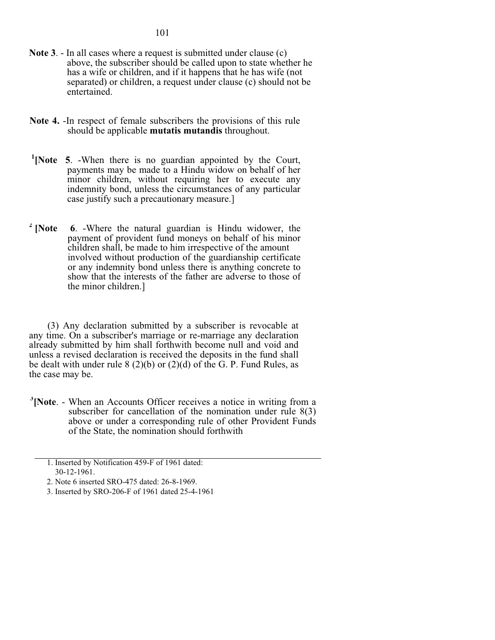- **Note 3**. In all cases where a request is submitted under clause (c) above, the subscriber should be called upon to state whether he has a wife or children, and if it happens that he has wife (not) separated) or children, a request under clause (c) should not be entertained.
- **Note 4.** -In respect of female subscribers the provisions of this rule should be applicable **mutatis mutandis** throughout.
- <sup>1</sup>[Note 5. -When there is no guardian appointed by the Court, payments may be made to a Hindu widow on behalf of her minor children, without requiring her to execute any indemnity bond, unless the circumstances of any particular case justify such a precautionary measure.]
- <sup>2</sup> [Note **6.** -Where the natural guardian is Hindu widower, the payment of provident fund moneys on behalf of his minor children shall, be made to him irrespective of the amount involved without production of the guardianship certificate or any indemnity bond unless there is anything concrete to show that the interests of the father are adverse to those of the minor children.]

(3) Any declaration submitted by a subscriber is revocable at any time. On a subscriber's marriage or re-marriage any declaration already submitted by him shall forthwith become null and void and unless a revised declaration is received the deposits in the fund shall be dealt with under rule  $8(2)(b)$  or  $(2)(d)$  of the G. P. Fund Rules, as the case may be.

<sup>3</sup> [Note. - When an Accounts Officer receives a notice in writing from a subscriber for cancellation of the nomination under rule 8(3) above or under a corresponding rule of other Provident Funds of the State, the nomination should forthwith

<sup>1.</sup> Inserted by Notification 459-F of 1961 dated: 30-12-1961.

<sup>2.</sup> Note 6 inserted SRO-475 dated: 26-8-1969.

<sup>3.</sup> Inserted by SRO-206-F of 1961 dated 25-4-1961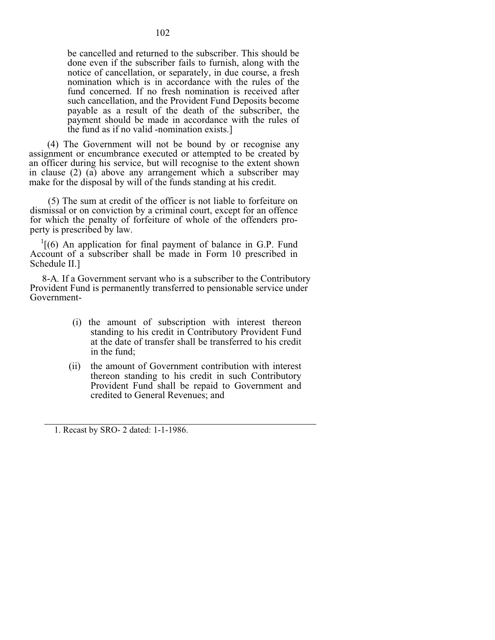be cancelled and returned to the subscriber. This should be done even if the subscriber fails to furnish, along with the notice of cancellation, or separately, in due course, a fresh nomination which is in accordance with the rules of the fund concerned. If no fresh nomination is received after such cancellation, and the Provident Fund Deposits become payable as a result of the death of the subscriber, the payment should be made in accordance with the rules of the fund as if no valid -nomination exists.]

(4) The Government will not be bound by or recognise any assignment or encumbrance executed or attempted to be created by an officer during his service, but will recognise to the extent shown in clause (2) (a) above any arrangement which a subscriber may make for the disposal by will of the funds standing at his credit.

(5) The sum at credit of the officer is not liable to forfeiture on dismissal or on conviction by a criminal court, except for an offence for which the penalty of forfeiture of whole of the offenders property is prescribed by law.

 $1(6)$  An application for final payment of balance in G.P. Fund Account of a subscriber shall be made in Form 10 prescribed in Schedule II.]

 8-A*.* If a Government servant who is a subscriber to the Contributory Provident Fund is permanently transferred to pensionable service under Government-

- (i) the amount of subscription with interest thereon standing to his credit in Contributory Provident Fund at the date of transfer shall be transferred to his credit in the fund;
- (ii) the amount of Government contribution with interest thereon standing to his credit in such Contributory Provident Fund shall be repaid to Government and credited to General Revenues; and

1. Recast by SRO- 2 dated: 1-1-1986.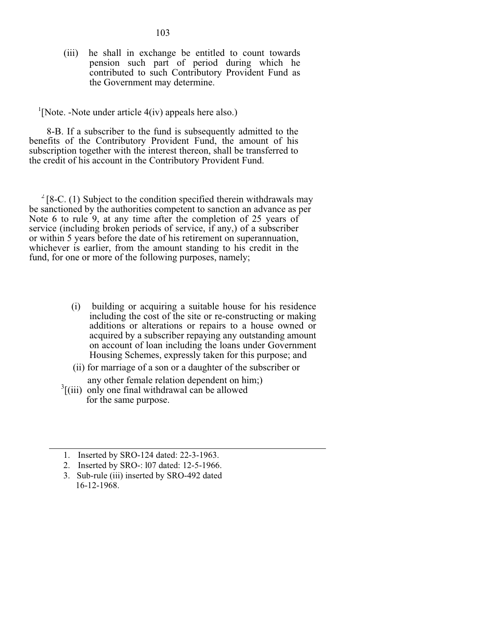(iii) he shall in exchange be entitled to count towards pension such part of period during which he contributed to such Contributory Provident Fund as the Government may determine.

 $<sup>1</sup>[Note. -Note under article 4(iv) appears here also.)$ </sup>

8-B. If a subscriber to the fund is subsequently admitted to the benefits of the Contributory Provident Fund, the amount of his subscription together with the interest thereon, shall be transferred to the credit of his account in the Contributory Provident Fund.

 $2^{2}$ [8-C. (1) Subject to the condition specified therein withdrawals may be sanctioned by the authorities competent to sanction an advance as per Note 6 to rule 9, at any time after the completion of 25 years of service (including broken periods of service, if any,) of a subscriber or within 5 years before the date of his retirement on superannuation, whichever is earlier, from the amount standing to his credit in the fund, for one or more of the following purposes, namely;

- (i) building or acquiring a suitable house for his residence including the cost of the site or re-constructing or making additions or alterations or repairs to a house owned or acquired by a subscriber repaying any outstanding amount on account of loan including the loans under Government Housing Schemes, expressly taken for this purpose; and
- (ii) for marriage of a son or a daughter of the subscriber or
- any other female relation dependent on him;)
- $3$ [(iii) only one final withdrawal can be allowed for the same purpose.
- 1. Inserted by SRO-124 dated: 22-3-1963.
- 2. Inserted by SRO-: l07 dated: 12-5-1966.
- 3. Sub-rule (iii) inserted by SRO-492 dated 16-12-1968.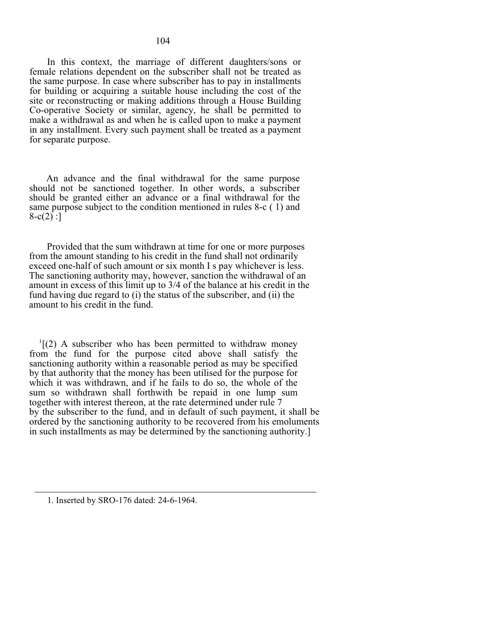In this context, the marriage of different daughters/sons or female relations dependent on the subscriber shall not be treated as the same purpose. In case where subscriber has to pay in installments for building or acquiring a suitable house including the cost of the site or reconstructing or making additions through a House Building Co-operative Society or similar, agency, he shall be permitted to make a withdrawal as and when he is called upon to make a payment in any installment. Every such payment shall be treated as a payment for separate purpose.

An advance and the final withdrawal for the same purpose should not be sanctioned together. In other words, a subscriber should be granted either an advance or a final withdrawal for the same purpose subject to the condition mentioned in rules 8-c ( 1) and  $8-c(2)$ :

Provided that the sum withdrawn at time for one or more purposes from the amount standing to his credit in the fund shall not ordinarily exceed one-half of such amount or six month I s pay whichever is less. The sanctioning authority may, however, sanction the withdrawal of an amount in excess of this limit up to 3/4 of the balance at his credit in the fund having due regard to (i) the status of the subscriber, and (ii) the amount to his credit in the fund.

 $I$ [(2) A subscriber who has been permitted to withdraw money from the fund for the purpose cited above shall satisfy the sanctioning authority within a reasonable period as may be specified by that authority that the money has been utilised for the purpose for which it was withdrawn, and if he fails to do so, the whole of the sum so withdrawn shall forthwith be repaid in one lump sum together with interest thereon, at the rate determined under rule 7 by the subscriber to the fund, and in default of such payment, it shall be ordered by the sanctioning authority to be recovered from his emoluments in such installments as may be determined by the sanctioning authority.]

<sup>1.</sup> Inserted by SRO-176 dated: 24-6-1964.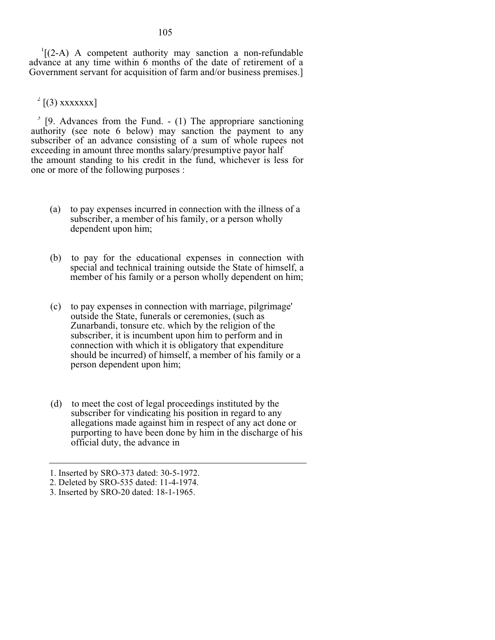1 [(2-A) A competent authority may sanction a non-refundable advance at any time within 6 months of the date of retirement of a Government servant for acquisition of farm and/or business premises.]

 $2$  [(3) xxxxxxx]

 $3$  [9. Advances from the Fund. - (1) The appropriare sanctioning authority (see note 6 below) may sanction the payment to any subscriber of an advance consisting of a sum of whole rupees not exceeding in amount three months salary/presumptive payor half the amount standing to his credit in the fund, whichever is less for one or more of the following purposes :

- (a) to pay expenses incurred in connection with the illness of a subscriber, a member of his family, or a person wholly dependent upon him;
- (b) to pay for the educational expenses in connection with special and technical training outside the State of himself, a member of his family or a person wholly dependent on him;
- (c) to pay expenses in connection with marriage, pilgrimage' outside the State, funerals or ceremonies, (such as Zunarbandi, tonsure etc. which by the religion of the subscriber, it is incumbent upon him to perform and in connection with which it is obligatory that expenditure should be incurred) of himself, a member of his family or a person dependent upon him;
- (d) to meet the cost of legal proceedings instituted by the subscriber for vindicating his position in regard to any allegations made against him in respect of any act done or purporting to have been done by him in the discharge of his official duty, the advance in

# 105

<sup>1.</sup> Inserted by SRO-373 dated: 30-5-1972.

<sup>2.</sup> Deleted by SRO-535 dated: 11-4-1974.

<sup>3.</sup> Inserted by SRO-20 dated: 18-1-1965.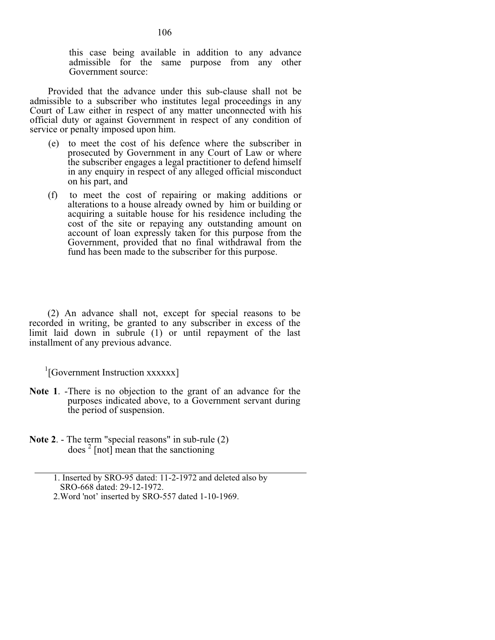this case being available in addition to any advance admissible for the same purpose from any other Government source:

Provided that the advance under this sub-clause shall not be admissible to a subscriber who institutes legal proceedings in any Court of Law either in respect of any matter unconnected with his official duty or against Government in respect of any condition of service or penalty imposed upon him.

- (e) to meet the cost of his defence where the subscriber in prosecuted by Government in any Court of Law or where the subscriber engages a legal practitioner to defend himself in any enquiry in respect of any alleged official misconduct on his part, and
- (f) to meet the cost of repairing or making additions or alterations to a house already owned by him or building or acquiring a suitable house for his residence including the cost of the site or repaying any outstanding amount on account of loan expressly taken for this purpose from the Government, provided that no final withdrawal from the fund has been made to the subscriber for this purpose.

(2) An advance shall not, except for special reasons to be recorded in writing, be granted to any subscriber in excess of the limit laid down in subrule (1) or until repayment of the last installment of any previous advance.

<sup>1</sup>[Government Instruction xxxxxx]

- **Note 1**. -There is no objection to the grant of an advance for the purposes indicated above, to a Government servant during the period of suspension.
- **Note 2**. The term "special reasons" in sub-rule (2) does  $2$  [not] mean that the sanctioning

2.Word 'not' inserted by SRO-557 dated 1-10-1969.

 <sup>1.</sup> Inserted by SRO-95 dated: 11-2-1972 and deleted also by SRO-668 dated: 29-12-1972.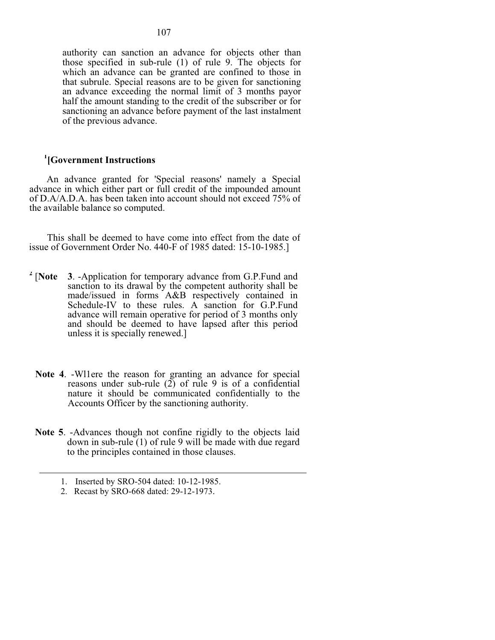authority can sanction an advance for objects other than those specified in sub-rule (1) of rule 9. The objects for which an advance can be granted are confined to those in that subrule. Special reasons are to be given for sanctioning an advance exceeding the normal limit of 3 months payor half the amount standing to the credit of the subscriber or for sanctioning an advance before payment of the last instalment of the previous advance.

# **1 [Government Instructions**

An advance granted for 'Special reasons' namely a Special advance in which either part or full credit of the impounded amount of D.A/A.D.A. has been taken into account should not exceed 75% of the available balance so computed.

This shall be deemed to have come into effect from the date of issue of Government Order No. 440-F of 1985 dated: 15-10-1985.]

- **2** [**Note 3**. -Application for temporary advance from G.P.Fund and sanction to its drawal by the competent authority shall be made/issued in forms A&B respectively contained in Schedule-IV to these rules. A sanction for G.P.Fund advance will remain operative for period of 3 months only and should be deemed to have lapsed after this period unless it is specially renewed.]
- **Note 4**. -Wl1ere the reason for granting an advance for special reasons under sub-rule  $(2)$  of rule 9 is of a confidential nature it should be communicated confidentially to the Accounts Officer by the sanctioning authority.
- **Note 5**. -Advances though not confine rigidly to the objects laid down in sub-rule (1) of rule 9 will be made with due regard to the principles contained in those clauses.

<sup>1.</sup> Inserted by SRO-504 dated: 10-12-1985.

<sup>2.</sup> Recast by SRO-668 dated: 29-12-1973.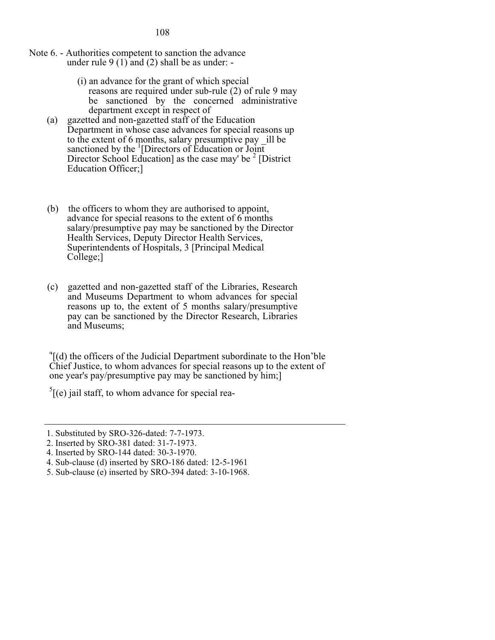- Note 6. Authorities competent to sanction the advance under rule  $9(1)$  and (2) shall be as under: -
	- (i) an advance for the grant of which special reasons are required under sub-rule (2) of rule 9 may be sanctioned by the concerned administrative department except in respect of
	- (a) gazetted and non-gazetted staff of the Education Department in whose case advances for special reasons up to the extent of 6 months, salary presumptive pay \_ill be sanctioned by the  $\frac{1}{1}$ [Directors of Education or Joint] Director School Education] as the case may' be  $2$  [District Education Officer;]
	- (b) the officers to whom they are authorised to appoint, advance for special reasons to the extent of 6 months salary/presumptive pay may be sanctioned by the Director Health Services, Deputy Director Health Services, Superintendents of Hospitals, 3 [Principal Medical College;]
	- (c) gazetted and non-gazetted staff of the Libraries, Research and Museums Department to whom advances for special reasons up to, the extent of 5 months salary/presumptive pay can be sanctioned by the Director Research, Libraries and Museums;

<sup>4</sup>[(d) the officers of the Judicial Department subordinate to the Hon'ble Chief Justice, to whom advances for special reasons up to the extent of one year's pay/presumptive pay may be sanctioned by him;]

 $<sup>5</sup>$ [(e) jail staff, to whom advance for special rea-</sup>

<sup>1.</sup> Substituted by SRO-326-dated: 7-7-1973.

<sup>2.</sup> Inserted by SRO-381 dated: 31-7-1973.

<sup>4.</sup> Inserted by SRO-144 dated: 30-3-1970.

<sup>4.</sup> Sub-clause (d) inserted by SRO-186 dated: 12-5-1961

<sup>5.</sup> Sub-clause (e) inserted by SRO-394 dated: 3-10-1968.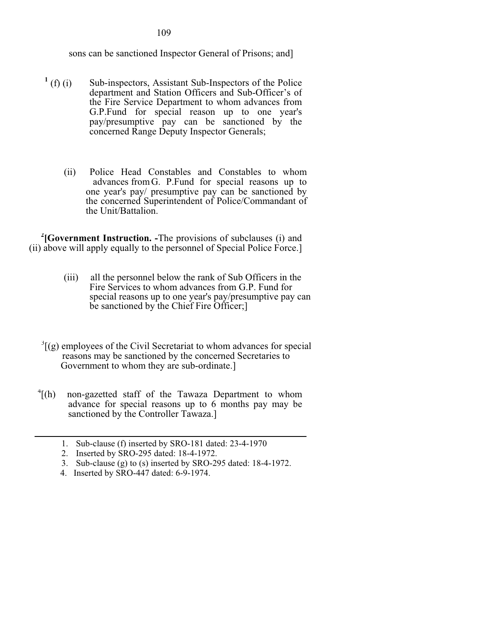sons can be sanctioned Inspector General of Prisons; and]

- $^{1}$  (f) (i) Sub-inspectors, Assistant Sub-Inspectors of the Police department and Station Officers and Sub-Officer's of the Fire Service Department to whom advances from G.P.Fund for special reason up to one year's pay/presumptive pay can be sanctioned by the concerned Range Deputy Inspector Generals;
	- (ii) Police Head Constables and Constables to whom advances from G. P.Fund for special reasons up to one year's pay/ presumptive pay can be sanctioned by the concerned Superintendent of Police/Commandant of the Unit/Battalion.

<sup>2</sup> [Government Instruction. -The provisions of subclauses (i) and (ii) above will apply equally to the personnel of Special Police Force.]

- (iii) all the personnel below the rank of Sub Officers in the Fire Services to whom advances from G.P. Fund for special reasons up to one year's pay/presumptive pay can be sanctioned by the Chief Fire Officer;]
- $3$ [(g) employees of the Civil Secretariat to whom advances for special reasons may be sanctioned by the concerned Secretaries to Government to whom they are sub-ordinate.]
- $\int^4$ [(h) non-gazetted staff of the Tawaza Department to whom advance for special reasons up to 6 months pay may be sanctioned by the Controller Tawaza.]
	- 1. Sub-clause (f) inserted by SRO-181 dated: 23-4-1970
	- 2. Inserted by SRO-295 dated: 18-4-1972.
	- 3. Sub-clause (g) to (s) inserted by SRO-295 dated: 18-4-1972.
	- 4. Inserted by SRO-447 dated: 6-9-1974.

109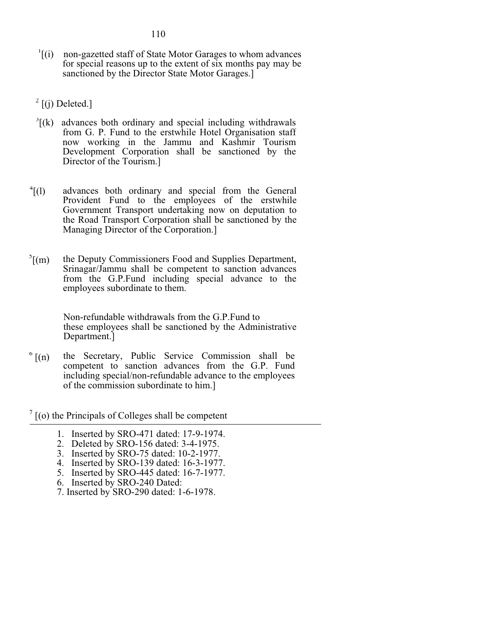- 110
- <sup>1</sup>[(i) non-gazetted staff of State Motor Garages to whom advances for special reasons up to the extent of six months pay may be sanctioned by the Director State Motor Garages.]

 $2$  [(j) Deleted.]

- $<sup>3</sup>$ [(k) advances both ordinary and special including withdrawals</sup> from G. P. Fund to the erstwhile Hotel Organisation staff now working in the Jammu and Kashmir Tourism Development Corporation shall be sanctioned by the Director of the Tourism.]
- $^{4}$ [(1) advances both ordinary and special from the General Provident Fund to the employees of the erstwhile Government Transport undertaking now on deputation to the Road Transport Corporation shall be sanctioned by the Managing Director of the Corporation.]
- $\sqrt[5]{(m)}$ [(m) the Deputy Commissioners Food and Supplies Department, Srinagar/Jammu shall be competent to sanction advances from the G.P.Fund including special advance to the employees subordinate to them.

Non-refundable withdrawals from the G.P.Fund to these employees shall be sanctioned by the Administrative Department.]

 $6 \left[ (n) \right]$  [(n) the Secretary, Public Service Commission shall be competent to sanction advances from the G.P. Fund including special/non-refundable advance to the employees of the commission subordinate to him.]

 $7$  [(o) the Principals of Colleges shall be competent

- 1. Inserted by SRO-471 dated: 17-9-1974.
- 2. Deleted by SRO-156 dated: 3-4-1975.
- 3. Inserted by SRO-75 dated: 10-2-1977.
- 4. Inserted by SRO-139 dated: 16-3-1977.
- 5. Inserted by SRO-445 dated: 16-7-1977.
- 6. Inserted by SRO-240 Dated:
- 7. Inserted by SRO-290 dated: 1-6-1978.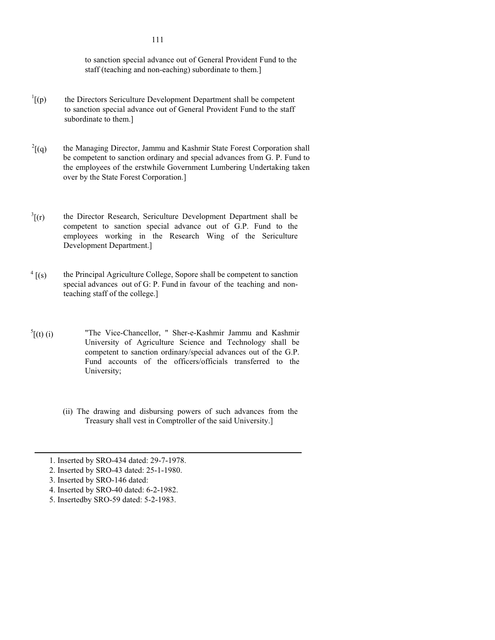to sanction special advance out of General Provident Fund to the staff (teaching and non-eaching) subordinate to them.]

- $\int$ <sup>1</sup>[(p)] [(p) the Directors Sericulture Development Department shall be competent to sanction special advance out of General Provident Fund to the staff subordinate to them.]
- the Managing Director, Jammu and Kashmir State Forest Corporation shall be competent to sanction ordinary and special advances from G. P. Fund to the employees of the erstwhile Government Lumbering Undertaking taken over by the State Forest Corporation.]  $^{2}$ [(q)
- $\int^3$ [(r) the Director Research, Sericulture Development Department shall be competent to sanction special advance out of G.P. Fund to the employees working in the Research Wing of the Sericulture Development Department.]
- the Principal Agriculture College, Sopore shall be competent to sanction special advances out of G: P. Fund in favour of the teaching and nonteaching staff of the college.]  $4$  [(s)
- "The Vice-Chancellor, " Sher-e-Kashmir Jammu and Kashmir University of Agriculture Science and Technology shall be competent to sanction ordinary/special advances out of the G.P. Fund accounts of the officers/officials transferred to the University;  $^{5}$ [(t) (i)
	- (ii) The drawing and disbursing powers of such advances from the Treasury shall vest in Comptroller of the said University.]

111

<sup>1.</sup> Inserted by SRO-434 dated: 29-7-1978.

<sup>2.</sup> Inserted by SRO-43 dated: 25-1-1980.

<sup>3.</sup> Inserted by SRO-146 dated:

<sup>4.</sup> Inserted by SRO-40 dated: 6-2-1982.

<sup>5.</sup> Insertedby SRO-59 dated: 5-2-1983.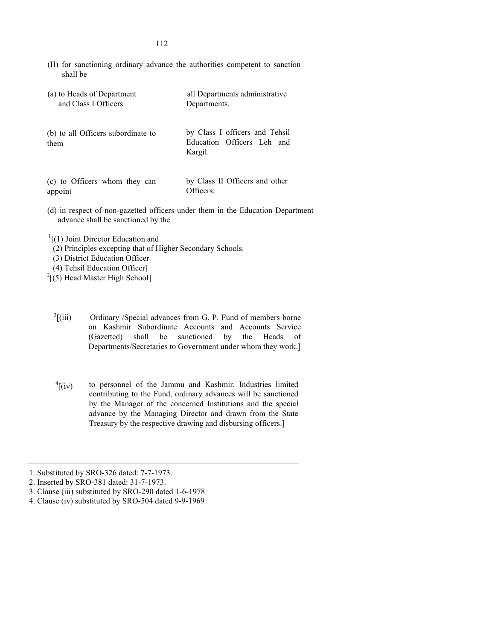(II) for sanctioning ordinary advance the authorities competent to sanction shall be

| (a) to Heads of Department                 | all Departments administrative                                                 |
|--------------------------------------------|--------------------------------------------------------------------------------|
| and Class I Officers                       | Departments.                                                                   |
| (b) to all Officers subordinate to<br>them | by Class I officers and Tehsil<br>Education Officers Leh and<br>Kargil.        |
| (c) to Officers whom they can              | by Class II Officers and other                                                 |
| appoint                                    | Officers.                                                                      |
| advance shall be sanctioned by the         | (d) in respect of non-gazetted officers under them in the Education Department |

 $\int$ <sup>1</sup>[(1) Joint Director Education and

- (2) Principles excepting that of Higher Secondary Schools.
- (3) District Education Officer
- (4) Tehsil Education Officer]
- $2$ [(5) Head Master High School]
	- $\frac{3}{1}$  (iii) Ordinary /Special advances from G. P. Fund of members borne on Kashmir Subordinate Accounts and Accounts Service (Gazetted) shall be sanctioned by the Heads of Departments/Secretaries to Government under whom they work.]
	- to personnel of the Jammu and Kashmir, Industries limited contributing to the Fund, ordinary advances will be sanctioned by the Manager of the concerned Institutions and the special advance by the Managing Director and drawn from the State Treasury by the respective drawing and disbursing officers.]  $\int$ <sup>4</sup>[(iv)

3. Clause (iii) substituted by SRO-290 dated 1-6-1978

<sup>1.</sup> Substituted by SRO-326 dated: 7-7-1973.

<sup>2.</sup> Inserted by SRO-381 dated: 31-7-1973.

<sup>4.</sup> Clause (iv) substituted by SRO-504 dated 9-9-1969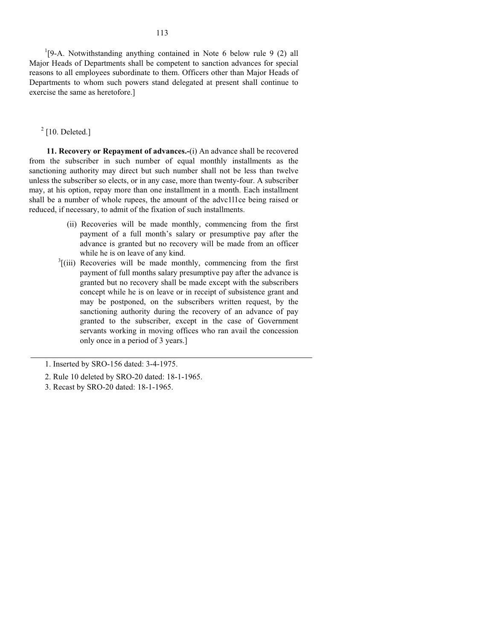<sup>1</sup>[9-A. Notwithstanding anything contained in Note 6 below rule 9 (2) all Major Heads of Departments shall be competent to sanction advances for special reasons to all employees subordinate to them. Officers other than Major Heads of Departments to whom such powers stand delegated at present shall continue to exercise the same as heretofore.]

# $2$  [10. Deleted.]

**11. Recovery or Repayment of advances.-**(i) An advance shall be recovered from the subscriber in such number of equal monthly installments as the sanctioning authority may direct but such number shall not be less than twelve unless the subscriber so elects, or in any case, more than twenty-four. A subscriber may, at his option, repay more than one installment in a month. Each installment shall be a number of whole rupees, the amount of the advc1l1ce being raised or reduced, if necessary, to admit of the fixation of such installments.

- (ii) Recoveries will be made monthly, commencing from the first payment of a full month's salary or presumptive pay after the advance is granted but no recovery will be made from an officer while he is on leave of any kind.
- $3$ [(iii) Recoveries will be made monthly, commencing from the first payment of full months salary presumptive pay after the advance is granted but no recovery shall be made except with the subscribers concept while he is on leave or in receipt of subsistence grant and may be postponed, on the subscribers written request, by the sanctioning authority during the recovery of an advance of pay granted to the subscriber, except in the case of Government servants working in moving offices who ran avail the concession only once in a period of 3 years.]

<sup>1.</sup> Inserted by SRO-156 dated: 3-4-1975.

<sup>2.</sup> Rule 10 deleted by SRO-20 dated: 18-1-1965.

<sup>3.</sup> Recast by SRO-20 dated: 18-1-1965.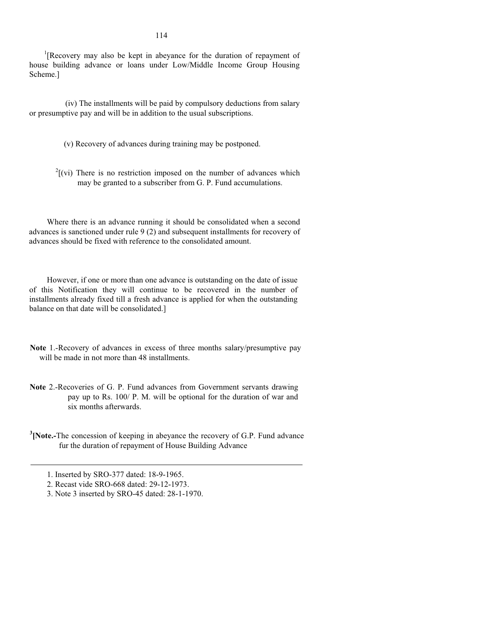<sup>1</sup>[Recovery may also be kept in abeyance for the duration of repayment of house building advance or loans under Low/Middle Income Group Housing Scheme.]

(iv) The installments will be paid by compulsory deductions from salary or presumptive pay and will be in addition to the usual subscriptions.

(v) Recovery of advances during training may be postponed.

 $2^2$ [(vi) There is no restriction imposed on the number of advances which may be granted to a subscriber from G. P. Fund accumulations.

Where there is an advance running it should be consolidated when a second advances is sanctioned under rule 9 (2) and subsequent installments for recovery of advances should be fixed with reference to the consolidated amount.

However, if one or more than one advance is outstanding on the date of issue of this Notification they will continue to be recovered in the number of installments already fixed till a fresh advance is applied for when the outstanding balance on that date will be consolidated.]

- **Note** 1.-Recovery of advances in excess of three months salary/presumptive pay will be made in not more than 48 installments.
- **Note** 2.-Recoveries of G. P. Fund advances from Government servants drawing pay up to Rs. 100/ P. M. will be optional for the duration of war and six months afterwards.
- <sup>3</sup> [Note.-The concession of keeping in abeyance the recovery of G.P. Fund advance fur the duration of repayment of House Building Advance

<sup>1.</sup> Inserted by SRO-377 dated: 18-9-1965.

<sup>2.</sup> Recast vide SRO-668 dated: 29-12-1973.

<sup>3.</sup> Note 3 inserted by SRO-45 dated: 28-1-1970.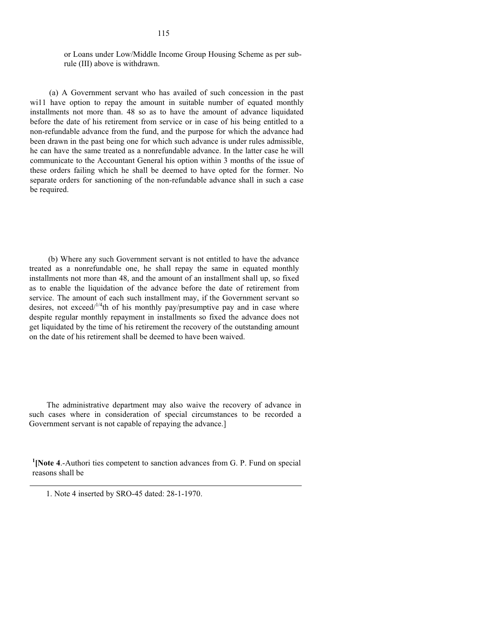## or Loans under Low/Middle Income Group Housing Scheme as per subrule (III) above is withdrawn.

(a) A Government servant who has availed of such concession in the past will have option to repay the amount in suitable number of equated monthly installments not more than. 48 so as to have the amount of advance liquidated before the date of his retirement from service or in case of his being entitled to a non-refundable advance from the fund, and the purpose for which the advance had been drawn in the past being one for which such advance is under rules admissible, he can have the same treated as a nonrefundable advance. In the latter case he will communicate to the Accountant General his option within 3 months of the issue of these orders failing which he shall be deemed to have opted for the former. No separate orders for sanctioning of the non-refundable advance shall in such a case be required.

(b) Where any such Government servant is not entitled to have the advance treated as a nonrefundable one, he shall repay the same in equated monthly installments not more than 48, and the amount of an installment shall up, so fixed as to enable the liquidation of the advance before the date of retirement from service. The amount of each such installment may, if the Government servant so desires, not exceed/ $1/4$ <sup>th</sup> of his monthly pay/presumptive pay and in case where despite regular monthly repayment in installments so fixed the advance does not get liquidated by the time of his retirement the recovery of the outstanding amount on the date of his retirement shall be deemed to have been waived.

The administrative department may also waive the recovery of advance in such cases where in consideration of special circumstances to be recorded a Government servant is not capable of repaying the advance.]

<sup>1</sup> [Note 4.-Authori ties competent to sanction advances from G. P. Fund on special reasons shall be

<sup>1.</sup> Note 4 inserted by SRO-45 dated: 28-1-1970.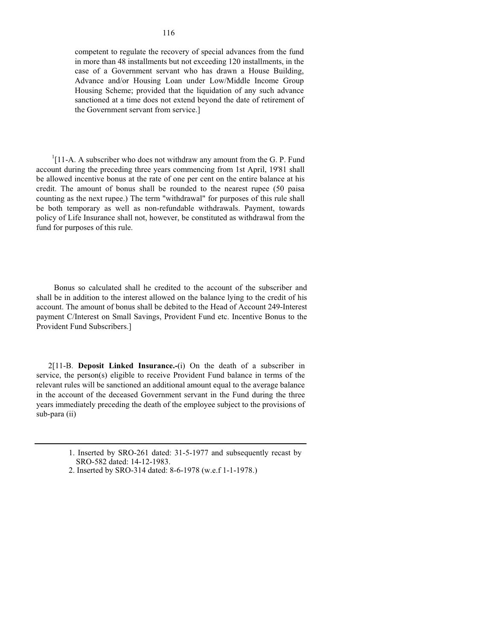<sup>1</sup>[11-A. A subscriber who does not withdraw any amount from the G. P. Fund account during the preceding three years commencing from 1st April, 19'81 shall be allowed incentive bonus at the rate of one per cent on the entire balance at his credit. The amount of bonus shall be rounded to the nearest rupee (50 paisa counting as the next rupee.) The term "withdrawal" for purposes of this rule shall be both temporary as well as non-refundable withdrawals. Payment, towards policy of Life Insurance shall not, however, be constituted as withdrawal from the fund for purposes of this rule.

Bonus so calculated shall he credited to the account of the subscriber and shall be in addition to the interest allowed on the balance lying to the credit of his account. The amount of bonus shall be debited to the Head of Account 249-Interest payment C/Interest on Small Savings, Provident Fund etc. Incentive Bonus to the Provident Fund Subscribers.]

2[11-B. **Deposit Linked Insurance.-**(i) On the death of a subscriber in service, the person(s) eligible to receive Provident Fund balance in terms of the relevant rules will be sanctioned an additional amount equal to the average balance in the account of the deceased Government servant in the Fund during the three years immediately preceding the death of the employee subject to the provisions of sub-para (ii)

> 1. Inserted by SRO-261 dated: 31-5-1977 and subsequently recast by SRO-582 dated: 14-12-1983.

2. Inserted by SRO-314 dated: 8-6-1978 (w.e.f 1-1-1978.)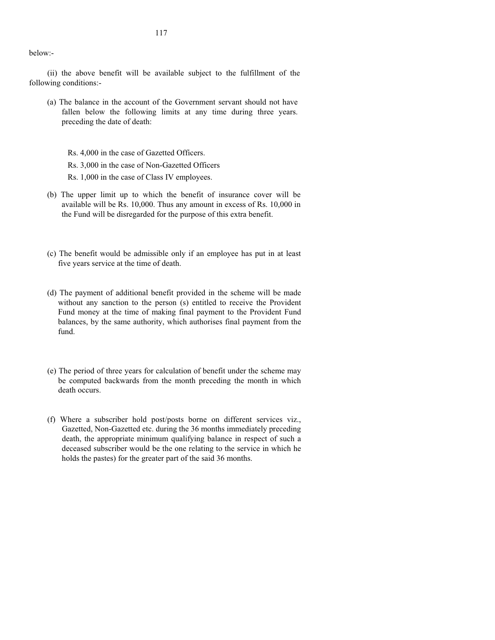(ii) the above benefit will be available subject to the fulfillment of the following conditions:-

(a) The balance in the account of the Government servant should not have fallen below the following limits at any time during three years. preceding the date of death:

Rs. 4,000 in the case of Gazetted Officers.

Rs. 3,000 in the case of Non-Gazetted Officers

Rs. 1,000 in the case of Class IV employees.

- (b) The upper limit up to which the benefit of insurance cover will be available will be Rs. 10,000. Thus any amount in excess of Rs. 10,000 in the Fund will be disregarded for the purpose of this extra benefit.
- (c) The benefit would be admissible only if an employee has put in at least five years service at the time of death.
- (d) The payment of additional benefit provided in the scheme will be made without any sanction to the person (s) entitled to receive the Provident Fund money at the time of making final payment to the Provident Fund balances, by the same authority, which authorises final payment from the fund.
- (e) The period of three years for calculation of benefit under the scheme may be computed backwards from the month preceding the month in which death occurs.
- (f) Where a subscriber hold post/posts borne on different services viz., Gazetted, Non-Gazetted etc. during the 36 months immediately preceding death, the appropriate minimum qualifying balance in respect of such a deceased subscriber would be the one relating to the service in which he holds the pastes) for the greater part of the said 36 months.

below:-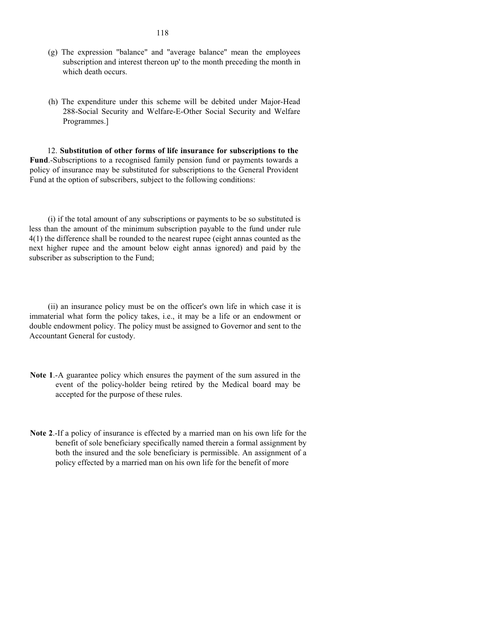- (g) The expression "balance" and "average balance" mean the employees subscription and interest thereon up' to the month preceding the month in which death occurs.
- (h) The expenditure under this scheme will be debited under Major-Head 288-Social Security and Welfare-E-Other Social Security and Welfare Programmes.]

12. **Substitution of other forms of life insurance for subscriptions to the Fund**.-Subscriptions to a recognised family pension fund or payments towards a policy of insurance may be substituted for subscriptions to the General Provident Fund at the option of subscribers, subject to the following conditions:

(i) if the total amount of any subscriptions or payments to be so substituted is less than the amount of the minimum subscription payable to the fund under rule 4(1) the difference shall be rounded to the nearest rupee (eight annas counted as the next higher rupee and the amount below eight annas ignored) and paid by the subscriber as subscription to the Fund;

(ii) an insurance policy must be on the officer's own life in which case it is immaterial what form the policy takes, i.e., it may be a life or an endowment or double endowment policy. The policy must be assigned to Governor and sent to the Accountant General for custody.

- **Note 1**.-A guarantee policy which ensures the payment of the sum assured in the event of the policy-holder being retired by the Medical board may be accepted for the purpose of these rules.
- **Note 2**.-If a policy of insurance is effected by a married man on his own life for the benefit of sole beneficiary specifically named therein a formal assignment by both the insured and the sole beneficiary is permissible. An assignment of a policy effected by a married man on his own life for the benefit of more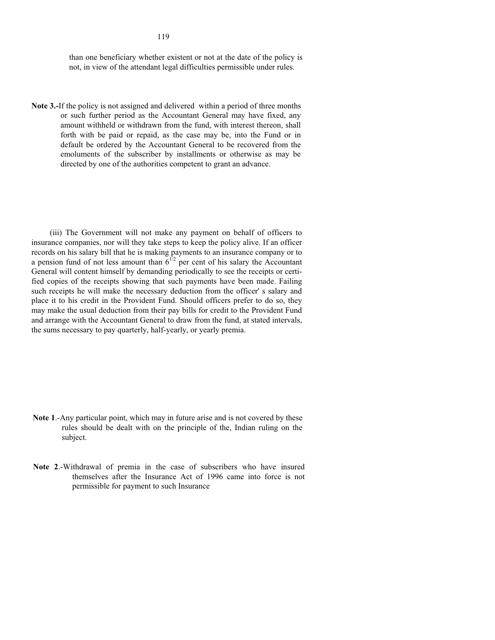not, in view of the attendant legal difficulties permissible under rules.

**Note 3.-**If the policy is not assigned and delivered within a period of three months or such further period as the Accountant General may have fixed, any amount withheld or withdrawn from the fund, with interest thereon, shall forth with be paid or repaid, as the case may be, into the Fund or in default be ordered by the Accountant General to be recovered from the emoluments of the subscriber by installments or otherwise as may be directed by one of the authorities competent to grant an advance.

(iii) The Government will not make any payment on behalf of officers to insurance companies, nor will they take steps to keep the policy alive. If an officer records on his salary bill that he is making payments to an insurance company or to a pension fund of not less amount than  $6^{1/2}$  per cent of his salary the Accountant General will content himself by demanding periodically to see the receipts or certified copies of the receipts showing that such payments have been made. Failing such receipts he will make the necessary deduction from the officer' s salary and place it to his credit in the Provident Fund. Should officers prefer to do so, they may make the usual deduction from their pay bills for credit to the Provident Fund and arrange with the Accountant General to draw from the fund, at stated intervals, the sums necessary to pay quarterly, half-yearly, or yearly premia.

- **Note 1**.-Any particular point, which may in future arise and is not covered by these rules should be dealt with on the principle of the, Indian ruling on the subject.
- **Note 2**.-Withdrawal of premia in the case of subscribers who have insured themselves after the Insurance Act of 1996 came into force is not permissible for payment to such Insurance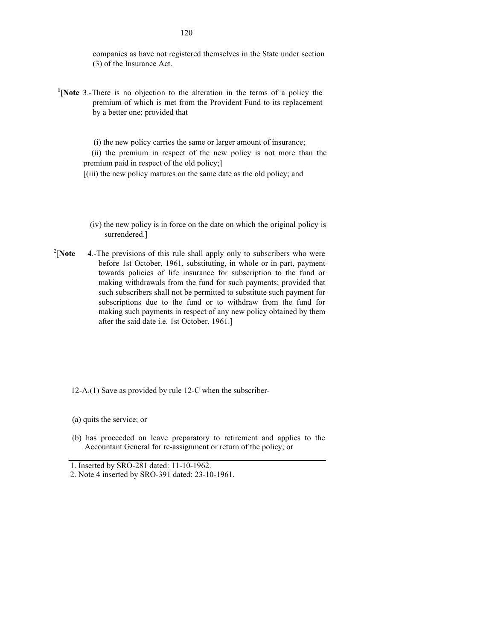companies as have not registered themselves in the State under section (3) of the Insurance Act.

<sup>1</sup> [Note 3.-There is no objection to the alteration in the terms of a policy the premium of which is met from the Provident Fund to its replacement by a better one; provided that

 (i) the new policy carries the same or larger amount of insurance; (ii) the premium in respect of the new policy is not more than the premium paid in respect of the old policy;]

[(iii) the new policy matures on the same date as the old policy; and

- (iv) the new policy is in force on the date on which the original policy is surrendered.]
- $2$ [Note [**Note 4**.-The previsions of this rule shall apply only to subscribers who were before 1st October, 1961, substituting, in whole or in part, payment towards policies of life insurance for subscription to the fund or making withdrawals from the fund for such payments; provided that such subscribers shall not be permitted to substitute such payment for subscriptions due to the fund or to withdraw from the fund for making such payments in respect of any new policy obtained by them after the said date i.e. 1st October, 1961.]

12-A.(1) Save as provided by rule 12-C when the subscriber-

(a) quits the service; or

(b) has proceeded on leave preparatory to retirement and applies to the Accountant General for re-assignment or return of the policy; or

<sup>1.</sup> Inserted by SRO-281 dated: 11-10-1962.

<sup>2.</sup> Note 4 inserted by SRO-391 dated: 23-10-1961.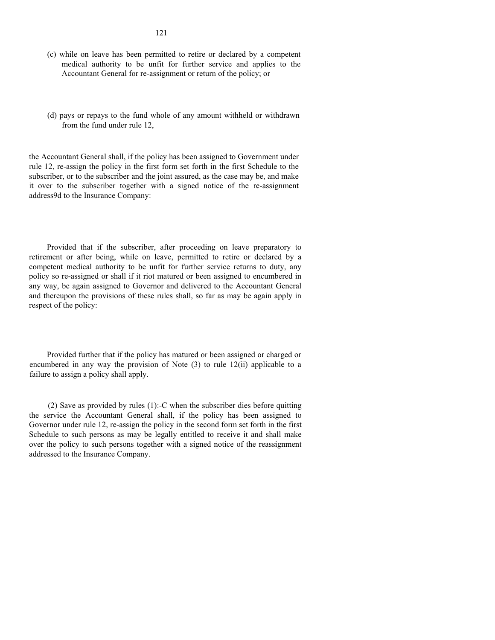- (c) while on leave has been permitted to retire or declared by a competent medical authority to be unfit for further service and applies to the Accountant General for re-assignment or return of the policy; or
- (d) pays or repays to the fund whole of any amount withheld or withdrawn from the fund under rule 12,

the Accountant General shall, if the policy has been assigned to Government under rule 12, re-assign the policy in the first form set forth in the first Schedule to the subscriber, or to the subscriber and the joint assured, as the case may be, and make it over to the subscriber together with a signed notice of the re-assignment address9d to the Insurance Company:

Provided that if the subscriber, after proceeding on leave preparatory to retirement or after being, while on leave, permitted to retire or declared by a competent medical authority to be unfit for further service returns to duty, any policy so re-assigned or shall if it riot matured or been assigned to encumbered in any way, be again assigned to Governor and delivered to the Accountant General and thereupon the provisions of these rules shall, so far as may be again apply in respect of the policy:

Provided further that if the policy has matured or been assigned or charged or encumbered in any way the provision of Note (3) to rule 12(ii) applicable to a failure to assign a policy shall apply.

(2) Save as provided by rules (1):-C when the subscriber dies before quitting the service the Accountant General shall, if the policy has been assigned to Governor under rule 12, re-assign the policy in the second form set forth in the first Schedule to such persons as may be legally entitled to receive it and shall make over the policy to such persons together with a signed notice of the reassignment addressed to the Insurance Company.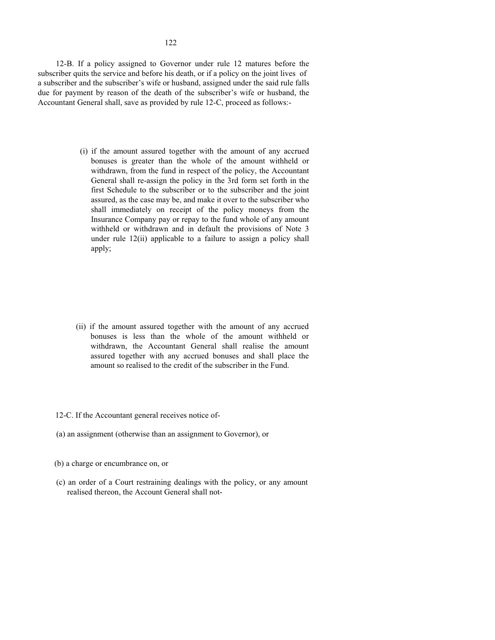Accountant General shall, save as provided by rule 12-C, proceed as follows:-

(i) if the amount assured together with the amount of any accrued bonuses is greater than the whole of the amount withheld or withdrawn, from the fund in respect of the policy, the Accountant General shall re-assign the policy in the 3rd form set forth in the first Schedule to the subscriber or to the subscriber and the joint assured, as the case may be, and make it over to the subscriber who shall immediately on receipt of the policy moneys from the Insurance Company pay or repay to the fund whole of any amount withheld or withdrawn and in default the provisions of Note 3 under rule 12(ii) applicable to a failure to assign a policy shall apply;

- (ii) if the amount assured together with the amount of any accrued bonuses is less than the whole of the amount withheld or withdrawn, the Accountant General shall realise the amount assured together with any accrued bonuses and shall place the amount so realised to the credit of the subscriber in the Fund.
- 12-C. If the Accountant general receives notice of-
- (a) an assignment (otherwise than an assignment to Governor), or
- (b) a charge or encumbrance on, or
- (c) an order of a Court restraining dealings with the policy, or any amount realised thereon, the Account General shall not-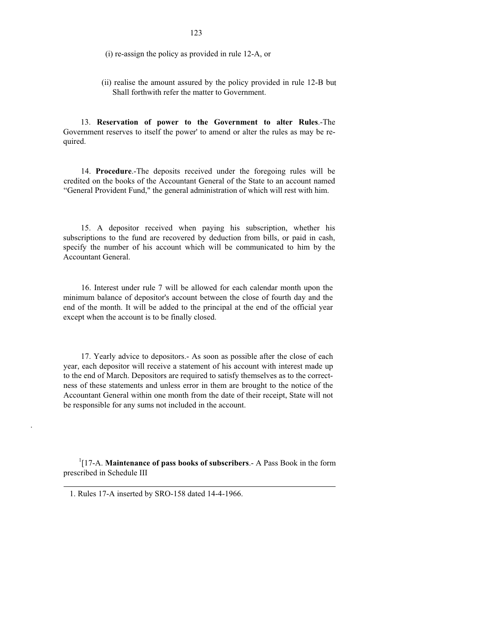(i) re-assign the policy as provided in rule 12-A, or

(ii) realise the amount assured by the policy provided in rule 12-B but Shall forthwith refer the matter to Government.

13. **Reservation of power to the Government to alter Rules**.-The Government reserves to itself the power' to amend or alter the rules as may be required.

14. **Procedure**.-The deposits received under the foregoing rules will be credited on the books of the Accountant General of the State to an account named "General Provident Fund," the general administration of which will rest with him.

15. A depositor received when paying his subscription, whether his subscriptions to the fund are recovered by deduction from bills, or paid in cash, specify the number of his account which will be communicated to him by the Accountant General.

16. Interest under rule 7 will be allowed for each calendar month upon the minimum balance of depositor's account between the close of fourth day and the end of the month. It will be added to the principal at the end of the official year except when the account is to be finally closed.

17. Yearly advice to depositors.- As soon as possible after the close of each year, each depositor will receive a statement of his account with interest made up to the end of March. Depositors are required to satisfy themselves as to the correctness of these statements and unless error in them are brought to the notice of the Accountant General within one month from the date of their receipt, State will not be responsible for any sums not included in the account.

1 [17-A. **Maintenance of pass books of subscribers**.- A Pass Book in the form prescribed in Schedule III

.

<sup>1.</sup> Rules 17-A inserted by SRO-158 dated 14-4-1966.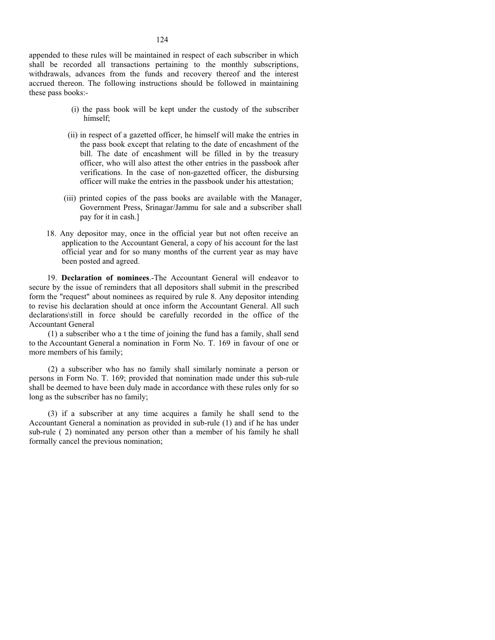appended to these rules will be maintained in respect of each subscriber in which shall be recorded all transactions pertaining to the monthly subscriptions, withdrawals, advances from the funds and recovery thereof and the interest accrued thereon. The following instructions should be followed in maintaining these pass books:-

- (i) the pass book will be kept under the custody of the subscriber himself;
- (ii) in respect of a gazetted officer, he himself will make the entries in the pass book except that relating to the date of encashment of the bill. The date of encashment will be filled in by the treasury officer, who will also attest the other entries in the passbook after verifications. In the case of non-gazetted officer, the disbursing officer will make the entries in the passbook under his attestation;
- (iii) printed copies of the pass books are available with the Manager, Government Press, Srinagar/Jammu for sale and a subscriber shall pay for it in cash.]
- 18. Any depositor may, once in the official year but not often receive an application to the Accountant General, a copy of his account for the last official year and for so many months of the current year as may have been posted and agreed.

19. **Declaration of nominees**.-The Accountant General will endeavor to secure by the issue of reminders that all depositors shall submit in the prescribed form the "request" about nominees as required by rule 8. Any depositor intending to revise his declaration should at once inform the Accountant General. All such declarations\still in force should be carefully recorded in the office of the Accountant General

(1) a subscriber who a t the time of joining the fund has a family, shall send to the Accountant General a nomination in Form No. T. 169 in favour of one or more members of his family;

(2) a subscriber who has no family shall similarly nominate a person or persons in Form No. T. 169; provided that nomination made under this sub-rule shall be deemed to have been duly made in accordance with these rules only for so long as the subscriber has no family;

(3) if a subscriber at any time acquires a family he shall send to the Accountant General a nomination as provided in sub-rule (1) and if he has under sub-rule ( 2) nominated any person other than a member of his family he shall formally cancel the previous nomination;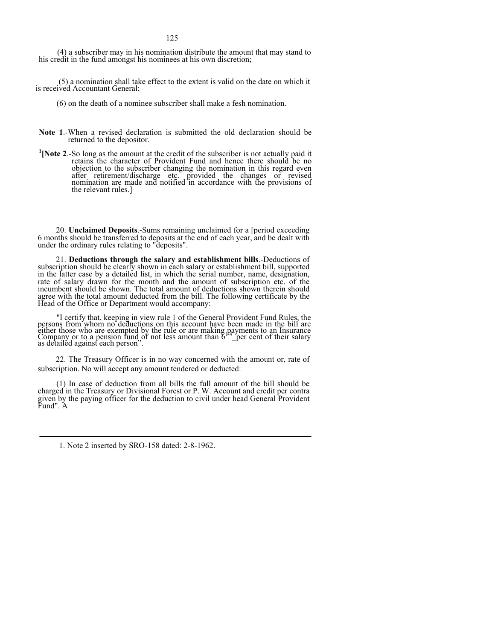(4) a subscriber may in his nomination distribute the amount that may stand to his credit in the fund amongst his nominees at his own discretion;

 (5) a nomination shall take effect to the extent is valid on the date on which it is received Accountant General;

- (6) on the death of a nominee subscriber shall make a fesh nomination.
- **Note 1**.-When a revised declaration is submitted the old declaration should be returned to the depositor.
- <sup>1</sup> [Note 2.-So long as the amount at the credit of the subscriber is not actually paid it retains the character of Provident Fund and hence there should be no objection to the subscriber changing the nomination in this regard even after retirement/discharge etc. provided the changes or revised nomination are made and notified in accordance with the provisions of the relevant rules.]

20. **Unclaimed Deposits**.-Sums remaining unclaimed for a [period exceeding 6 months should be transferred to deposits at the end of each year, and be dealt with under the ordinary rules relating to "deposits".

21. **Deductions through the salary and establishment bills**.-Deductions of subscription should be clearly shown in each salary or establishment bill, supported in the latter case by a detailed list, in which the serial number, name, designation, rate of salary drawn for the month and the amount of subscription etc. of the incumbent should be shown. The total amount of deductions shown therein should agree with the total amount deducted from the bill. The following certificate by the Head of the Office or Department would accompany:

"I certify that, keeping in view rule 1 of the General Provident Fund Rules, the persons from whom no deductions on this account have been made in the bill are either those who are exempted by the rule or are making payments to an Insurance Company or to a pension fund of not less amount than  $6^{14}$  per cent of their salary as detailed against each person".

22. The Treasury Officer is in no way concerned with the amount or, rate of subscription. No will accept any amount tendered or deducted:

(1) In case of deduction from all bills the full amount of the bill should be charged in the Treasury or Divisional Forest or P. W. Account and credit per contra given by the paying officer for the deduction to civil under head General Provident Fund". A

1. Note 2 inserted by SRO-158 dated: 2-8-1962.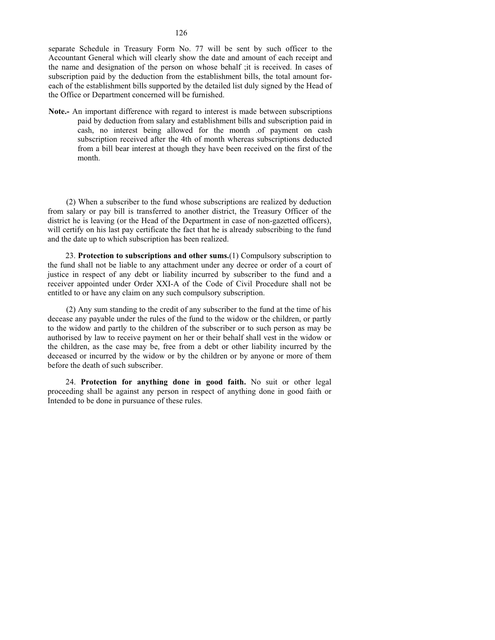separate Schedule in Treasury Form No. 77 will be sent by such officer to the Accountant General which will clearly show the date and amount of each receipt and the name and designation of the person on whose behalf ;it is received. In cases of subscription paid by the deduction from the establishment bills, the total amount foreach of the establishment bills supported by the detailed list duly signed by the Head of the Office or Department concerned will be furnished.

**Note.-** An important difference with regard to interest is made between subscriptions paid by deduction from salary and establishment bills and subscription paid in cash, no interest being allowed for the month .of payment on cash subscription received after the 4th of month whereas subscriptions deducted from a bill bear interest at though they have been received on the first of the month.

(2) When a subscriber to the fund whose subscriptions are realized by deduction from salary or pay bill is transferred to another district, the Treasury Officer of the district he is leaving (or the Head of the Department in case of non-gazetted officers), will certify on his last pay certificate the fact that he is already subscribing to the fund and the date up to which subscription has been realized.

23. **Protection to subscriptions and other sums.**(1) Compulsory subscription to the fund shall not be liable to any attachment under any decree or order of a court of justice in respect of any debt or liability incurred by subscriber to the fund and a receiver appointed under Order XXI-A of the Code of Civil Procedure shall not be entitled to or have any claim on any such compulsory subscription.

(2) Any sum standing to the credit of any subscriber to the fund at the time of his decease any payable under the rules of the fund to the widow or the children, or partly to the widow and partly to the children of the subscriber or to such person as may be authorised by law to receive payment on her or their behalf shall vest in the widow or the children, as the case may be, free from a debt or other liability incurred by the deceased or incurred by the widow or by the children or by anyone or more of them before the death of such subscriber.

24. **Protection for anything done in good faith.** No suit or other legal proceeding shall be against any person in respect of anything done in good faith or Intended to be done in pursuance of these rules.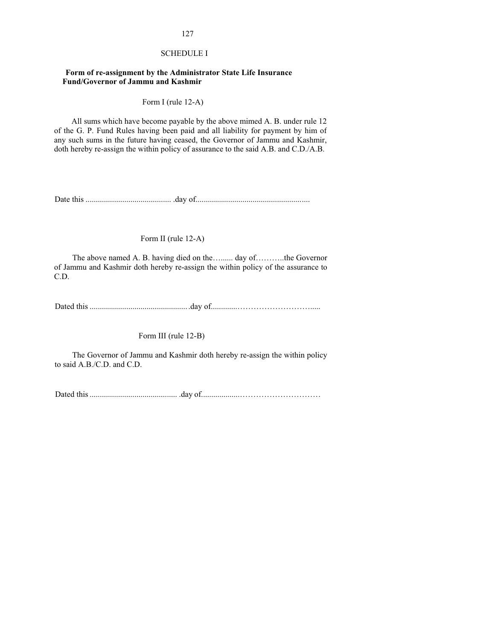#### SCHEDULE I

#### **Form of re-assignment by the Administrator State Life Insurance Fund/Governor of Jammu and Kashmir**

Form I (rule 12-A)

All sums which have become payable by the above mimed A. B. under rule 12 of the G. P. Fund Rules having been paid and all liability for payment by him of any such sums in the future having ceased, the Governor of Jammu and Kashmir, doth hereby re-assign the within policy of assurance to the said A.B. and C.D./A.B.

Date this .......................................... .day of........................................................

Form II (rule 12-A)

The above named A. B. having died on the…...... day of…........the Governor of Jammu and Kashmir doth hereby re-assign the within policy of the assurance to C.D.

Dated this .................................................day of.............……………………….....

Form III (rule 12-B)

The Governor of Jammu and Kashmir doth hereby re-assign the within policy to said A.B./C.D. and C.D.

Dated this ........................................... .day of...................…………………………